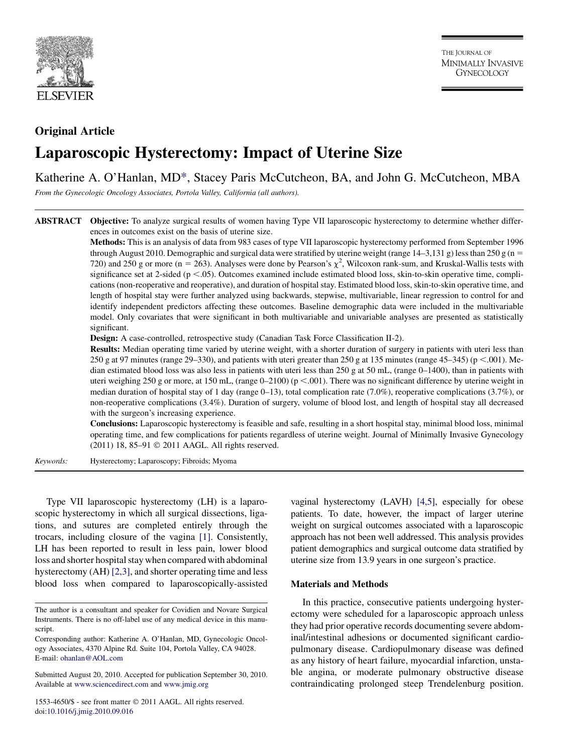

# Original Article Laparoscopic Hysterectomy: Impact of Uterine Size

Katherine A. O'Hanlan, MD\*, Stacey Paris McCutcheon, BA, and John G. McCutcheon, MBA

From the Gynecologic Oncology Associates, Portola Valley, California (all authors).

ABSTRACT Objective: To analyze surgical results of women having Type VII laparoscopic hysterectomy to determine whether differences in outcomes exist on the basis of uterine size.

> Methods: This is an analysis of data from 983 cases of type VII laparoscopic hysterectomy performed from September 1996 through August 2010. Demographic and surgical data were stratified by uterine weight (range  $14-3,131$  g) less than 250 g (n = 720) and 250 g or more (n = 263). Analyses were done by Pearson's  $\chi^2$ , Wilcoxon rank-sum, and Kruskal-Wallis tests with significance set at 2-sided ( $p < .05$ ). Outcomes examined include estimated blood loss, skin-to-skin operative time, complications (non-reoperative and reoperative), and duration of hospital stay. Estimated blood loss, skin-to-skin operative time, and length of hospital stay were further analyzed using backwards, stepwise, multivariable, linear regression to control for and identify independent predictors affecting these outcomes. Baseline demographic data were included in the multivariable model. Only covariates that were significant in both multivariable and univariable analyses are presented as statistically significant.

Design: A case-controlled, retrospective study (Canadian Task Force Classification II-2).

Results: Median operating time varied by uterine weight, with a shorter duration of surgery in patients with uteri less than 250 g at 97 minutes (range 29–330), and patients with uteri greater than 250 g at 135 minutes (range 45–345) ( $p < .001$ ). Median estimated blood loss was also less in patients with uteri less than 250 g at 50 mL, (range 0–1400), than in patients with uteri weighing 250 g or more, at 150 mL, (range  $0-2100$ ) ( $p < .001$ ). There was no significant difference by uterine weight in median duration of hospital stay of 1 day (range 0–13), total complication rate (7.0%), reoperative complications (3.7%), or non-reoperative complications (3.4%). Duration of surgery, volume of blood lost, and length of hospital stay all decreased with the surgeon's increasing experience.

Conclusions: Laparoscopic hysterectomy is feasible and safe, resulting in a short hospital stay, minimal blood loss, minimal operating time, and few complications for patients regardless of uterine weight. Journal of Minimally Invasive Gynecology (2011) 18, 85-91 © 2011 AAGL. All rights reserved.

Keywords: Hysterectomy; Laparoscopy; Fibroids; Myoma

Type VII laparoscopic hysterectomy (LH) is a laparoscopic hysterectomy in which all surgical dissections, ligations, and sutures are completed entirely through the trocars, including closure of the vagina [\[1\]](#page-6-0). Consistently, LH has been reported to result in less pain, lower blood loss and shorter hospital stay when compared with abdominal hysterectomy (AH) [\[2,3\],](#page-6-0) and shorter operating time and less blood loss when compared to laparoscopically-assisted

vaginal hysterectomy (LAVH) [\[4,5\],](#page-6-0) especially for obese patients. To date, however, the impact of larger uterine weight on surgical outcomes associated with a laparoscopic approach has not been well addressed. This analysis provides patient demographics and surgical outcome data stratified by uterine size from 13.9 years in one surgeon's practice.

## Materials and Methods

In this practice, consecutive patients undergoing hysterectomy were scheduled for a laparoscopic approach unless they had prior operative records documenting severe abdominal/intestinal adhesions or documented significant cardiopulmonary disease. Cardiopulmonary disease was defined as any history of heart failure, myocardial infarction, unstable angina, or moderate pulmonary obstructive disease contraindicating prolonged steep Trendelenburg position.

The author is a consultant and speaker for Covidien and Novare Surgical Instruments. There is no off-label use of any medical device in this manuscript.

Corresponding author: Katherine A. O'Hanlan, MD, Gynecologic Oncology Associates, 4370 Alpine Rd. Suite 104, Portola Valley, CA 94028. E-mail: [ohanlan@AOL.com](mailto:ohanlan@AOL.com)

Submitted August 20, 2010. Accepted for publication September 30, 2010. Available at [www.sciencedirect.com](http://www.sciencedirect.com) and [www.jmig.org](http://www.jmig.org)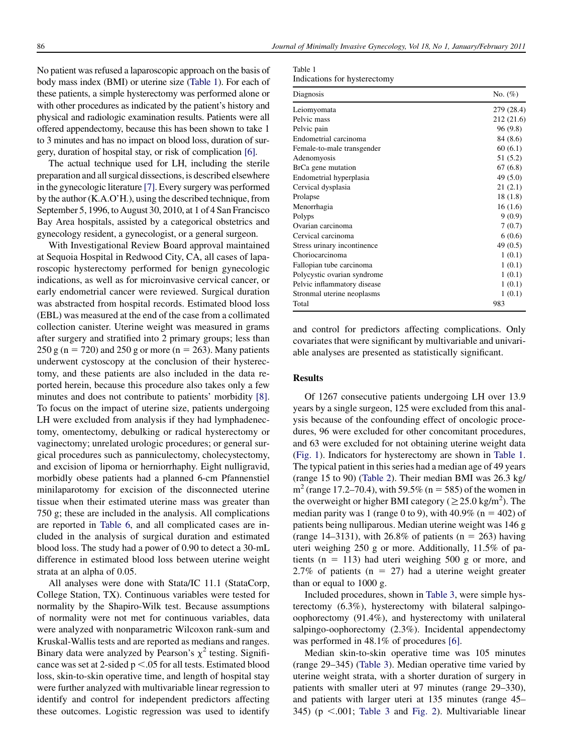No patient was refused a laparoscopic approach on the basis of body mass index (BMI) or uterine size (Table 1). For each of these patients, a simple hysterectomy was performed alone or with other procedures as indicated by the patient's history and physical and radiologic examination results. Patients were all offered appendectomy, because this has been shown to take 1 to 3 minutes and has no impact on blood loss, duration of surgery, duration of hospital stay, or risk of complication [\[6\]](#page-6-0).

The actual technique used for LH, including the sterile preparation and all surgical dissections, is described elsewhere in the gynecologic literature [\[7\]](#page-6-0). Every surgery was performed by the author (K.A.O'H.), using the described technique, from September 5, 1996, to August 30, 2010, at 1 of 4 San Francisco Bay Area hospitals, assisted by a categorical obstetrics and gynecology resident, a gynecologist, or a general surgeon.

With Investigational Review Board approval maintained at Sequoia Hospital in Redwood City, CA, all cases of laparoscopic hysterectomy performed for benign gynecologic indications, as well as for microinvasive cervical cancer, or early endometrial cancer were reviewed. Surgical duration was abstracted from hospital records. Estimated blood loss (EBL) was measured at the end of the case from a collimated collection canister. Uterine weight was measured in grams after surgery and stratified into 2 primary groups; less than 250 g (n = 720) and 250 g or more (n = 263). Many patients underwent cystoscopy at the conclusion of their hysterectomy, and these patients are also included in the data reported herein, because this procedure also takes only a few minutes and does not contribute to patients' morbidity [\[8\].](#page-6-0) To focus on the impact of uterine size, patients undergoing LH were excluded from analysis if they had lymphadenectomy, omentectomy, debulking or radical hysterectomy or vaginectomy; unrelated urologic procedures; or general surgical procedures such as panniculectomy, cholecystectomy, and excision of lipoma or herniorrhaphy. Eight nulligravid, morbidly obese patients had a planned 6-cm Pfannenstiel minilaparotomy for excision of the disconnected uterine tissue when their estimated uterine mass was greater than 750 g; these are included in the analysis. All complications are reported in [Table 6,](#page-5-0) and all complicated cases are included in the analysis of surgical duration and estimated blood loss. The study had a power of 0.90 to detect a 30-mL difference in estimated blood loss between uterine weight strata at an alpha of 0.05.

All analyses were done with Stata/IC 11.1 (StataCorp, College Station, TX). Continuous variables were tested for normality by the Shapiro-Wilk test. Because assumptions of normality were not met for continuous variables, data were analyzed with nonparametric Wilcoxon rank-sum and Kruskal-Wallis tests and are reported as medians and ranges. Binary data were analyzed by Pearson's  $\chi^2$  testing. Significance was set at 2-sided  $p < .05$  for all tests. Estimated blood loss, skin-to-skin operative time, and length of hospital stay were further analyzed with multivariable linear regression to identify and control for independent predictors affecting these outcomes. Logistic regression was used to identify

| таріе т |                              |
|---------|------------------------------|
|         | Indications for hysterectomy |

 $T<sub>1</sub>$ 

| Diagnosis                   | No. $(\%)$ |
|-----------------------------|------------|
| Leiomyomata                 | 279 (28.4) |
| Pelvic mass                 | 212 (21.6) |
| Pelvic pain                 | 96 (9.8)   |
| Endometrial carcinoma       | 84 (8.6)   |
| Female-to-male transgender  | 60(6.1)    |
| Adenomyosis                 | 51 (5.2)   |
| BrCa gene mutation          | 67(6.8)    |
| Endometrial hyperplasia     | 49 (5.0)   |
| Cervical dysplasia          | 21 (2.1)   |
| Prolapse                    | 18 (1.8)   |
| Menorrhagia                 | 16(1.6)    |
| Polyps                      | 9(0.9)     |
| Ovarian carcinoma           | 7(0.7)     |
| Cervical carcinoma          | 6(0.6)     |
| Stress urinary incontinence | 49 (0.5)   |
| Choriocarcinoma             | 1(0.1)     |
| Fallopian tube carcinoma    | 1(0.1)     |
| Polycystic ovarian syndrome | 1(0.1)     |
| Pelvic inflammatory disease | 1(0.1)     |
| Stronmal uterine neoplasms  | 1(0.1)     |
| Total                       | 983        |

and control for predictors affecting complications. Only covariates that were significant by multivariable and univariable analyses are presented as statistically significant.

### **Results**

Of 1267 consecutive patients undergoing LH over 13.9 years by a single surgeon, 125 were excluded from this analysis because of the confounding effect of oncologic procedures, 96 were excluded for other concomitant procedures, and 63 were excluded for not obtaining uterine weight data [\(Fig. 1](#page-2-0)). Indicators for hysterectomy are shown in Table 1. The typical patient in this series had a median age of 49 years (range 15 to 90) [\(Table 2\)](#page-2-0). Their median BMI was 26.3 kg/  $m<sup>2</sup>$  (range 17.2–70.4), with 59.5% (n = 585) of the women in the overweight or higher BMI category ( $\geq$  25.0 kg/m<sup>2</sup>). The median parity was 1 (range 0 to 9), with  $40.9\%$  (n = 402) of patients being nulliparous. Median uterine weight was 146 g (range 14–3131), with 26.8% of patients ( $n = 263$ ) having uteri weighing 250 g or more. Additionally, 11.5% of patients ( $n = 113$ ) had uteri weighing 500 g or more, and 2.7% of patients ( $n = 27$ ) had a uterine weight greater than or equal to 1000 g.

Included procedures, shown in [Table 3](#page-3-0), were simple hysterectomy (6.3%), hysterectomy with bilateral salpingooophorectomy (91.4%), and hysterectomy with unilateral salpingo-oophorectomy (2.3%). Incidental appendectomy was performed in 48.1% of procedures [\[6\]](#page-6-0).

Median skin-to-skin operative time was 105 minutes (range 29–345) [\(Table 3](#page-3-0)). Median operative time varied by uterine weight strata, with a shorter duration of surgery in patients with smaller uteri at 97 minutes (range 29–330), and patients with larger uteri at 135 minutes (range 45– 345) ( $p \le 0.001$ ; [Table 3](#page-3-0) and [Fig. 2\)](#page-3-0). Multivariable linear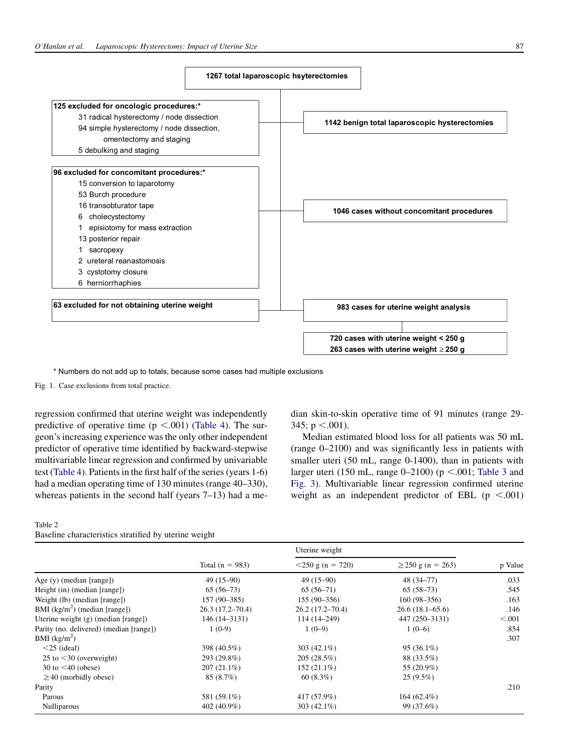<span id="page-2-0"></span>

\* Numbers do not add up to totals, because some cases had multiple exclusions

Fig. 1. Case exclusions from total practice.

regression confirmed that uterine weight was independently predictive of operative time ( $p < .001$ ) ([Table 4](#page-4-0)). The surgeon's increasing experience was the only other independent predictor of operative time identified by backward-stepwise multivariable linear regression and confirmed by univariable test ([Table 4\)](#page-4-0). Patients in the first half of the series (years 1-6) had a median operating time of 130 minutes (range 40–330), whereas patients in the second half (years 7–13) had a me-

### Table 2 Baseline characteristics stratified by uterine weight

dian skin-to-skin operative time of 91 minutes (range 29- 345;  $p < .001$ ).

Median estimated blood loss for all patients was 50 mL (range 0–2100) and was significantly less in patients with smaller uteri (50 mL, range 0-1400), than in patients with larger uteri (150 mL, range 0–2100) ( $p < .001$ ; [Table 3](#page-3-0) and [Fig. 3\)](#page-4-0). Multivariable linear regression confirmed uterine weight as an independent predictor of EBL ( $p < .001$ )

|                                         | Total $(n = 983)$   | Uterine weight      |                        |         |
|-----------------------------------------|---------------------|---------------------|------------------------|---------|
|                                         |                     | $<$ 250 g (n = 720) | $\geq$ 250 g (n = 263) | p Value |
| Age $(y)$ (median [range])              | $49(15-90)$         | $49(15-90)$         | 48 (34–77)             | .033    |
| Height (in) (median [range])            | $65(56-73)$         | $65(56-71)$         | $65(58-73)$            | .545    |
| Weight (lb) (median [range])            | $157(90-385)$       | $155(90-356)$       | $160(98-356)$          | .163    |
| BMI $(kg/m2)$ (median [range])          | $26.3(17.2 - 70.4)$ | $26.2(17.2 - 70.4)$ | 26.6(18.1–65.6)        | .146    |
| Uterine weight $(g)$ (median [range])   | 146 (14–3131)       | $114(14 - 249)$     | 447 (250–3131)         | < 0.001 |
| Parity (no. delivered) (median [range]) | $1(0-9)$            | $1(0-9)$            | $1(0-6)$               | .854    |
| BMI $(kg/m2)$                           |                     |                     |                        | .307    |
| $<$ 25 (ideal)                          | 398 (40.5%)         | 303 $(42.1\%)$      | $95(36.1\%)$           |         |
| 25 to $\leq$ 30 (overweight)            | 293 (29.8%)         | 205(28.5%)          | 88 (33.5%)             |         |
| 30 to $\leq$ 40 (obese)                 | $207(21.1\%)$       | 152 (21.1%)         | 55 (20.9%)             |         |
| $\geq$ 40 (morbidly obese)              | 85(8.7%)            | 60(8.3%)            | $25(9.5\%)$            |         |
| Parity                                  |                     |                     |                        | .210    |
| Parous                                  | 581 (59.1%)         | 417 (57.9%)         | $164(62.4\%)$          |         |
| Nulliparous                             | 402 (40.9%)         | 303 $(42.1\%)$      | 99 (37.6%)             |         |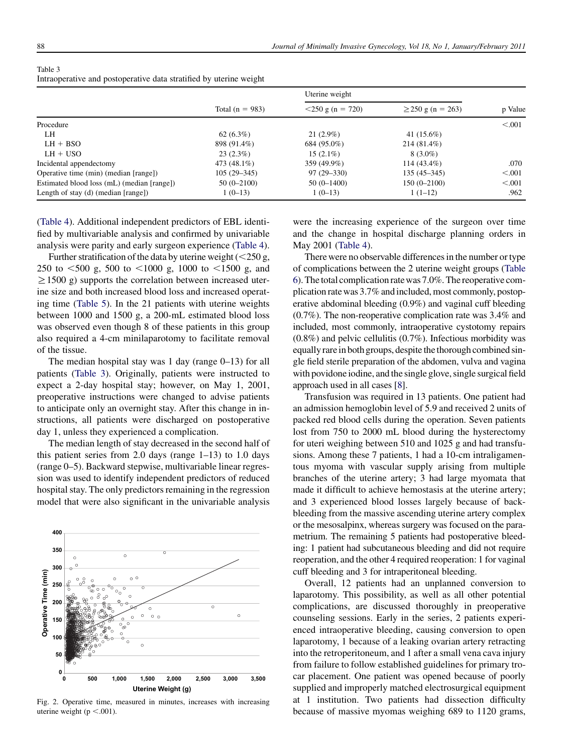|                                            |                   | Uterine weight      |                        |         |
|--------------------------------------------|-------------------|---------------------|------------------------|---------|
|                                            | Total $(n = 983)$ | $<$ 250 g (n = 720) | $\geq$ 250 g (n = 263) | p Value |
| Procedure                                  |                   |                     |                        | < 0.001 |
| LH                                         | 62(6.3%)          | $21(2.9\%)$         | 41 $(15.6%)$           |         |
| $LH + BSO$                                 | 898 (91.4%)       | 684 (95.0%)         | $214(81.4\%)$          |         |
| $LH + USO$                                 | $23(2.3\%)$       | $15(2.1\%)$         | $8(3.0\%)$             |         |
| Incidental appendectomy                    | 473 (48.1%)       | 359 (49.9%)         | $114(43.4\%)$          | .070    |
| Operative time (min) (median [range])      | $105(29 - 345)$   | $97(29 - 330)$      | $135(45-345)$          | < 0.001 |
| Estimated blood loss (mL) (median [range]) | $50(0-2100)$      | $50(0-1400)$        | $150(0-2100)$          | < 0.001 |
| Length of stay (d) (median [range])        | $1(0-13)$         | $1(0-13)$           | $1(1-12)$              | .962    |

<span id="page-3-0"></span>Table 3 Intraoperative and postoperative data stratified by uterine weight

[\(Table 4\)](#page-4-0). Additional independent predictors of EBL identified by multivariable analysis and confirmed by univariable analysis were parity and early surgeon experience ([Table 4](#page-4-0)).

Further stratification of the data by uterine weight  $(<250 g$ , 250 to  $<500$  g, 500 to  $<1000$  g, 1000 to  $<1500$  g, and  $\geq$ 1500 g) supports the correlation between increased uterine size and both increased blood loss and increased operating time ([Table 5](#page-4-0)). In the 21 patients with uterine weights between 1000 and 1500 g, a 200-mL estimated blood loss was observed even though 8 of these patients in this group also required a 4-cm minilaparotomy to facilitate removal of the tissue.

The median hospital stay was 1 day (range 0–13) for all patients (Table 3). Originally, patients were instructed to expect a 2-day hospital stay; however, on May 1, 2001, preoperative instructions were changed to advise patients to anticipate only an overnight stay. After this change in instructions, all patients were discharged on postoperative day 1, unless they experienced a complication.

The median length of stay decreased in the second half of this patient series from 2.0 days (range  $1-13$ ) to 1.0 days (range 0–5). Backward stepwise, multivariable linear regression was used to identify independent predictors of reduced hospital stay. The only predictors remaining in the regression model that were also significant in the univariable analysis



Fig. 2. Operative time, measured in minutes, increases with increasing uterine weight ( $p < .001$ ).

were the increasing experience of the surgeon over time and the change in hospital discharge planning orders in May 2001 ([Table 4](#page-4-0)).

There were no observable differences in the number or type of complications between the 2 uterine weight groups [\(Table](#page-5-0) [6\)](#page-5-0). Thetotal complication ratewas 7.0%. The reoperative complication rate was 3.7% and included, most commonly, postoperative abdominal bleeding (0.9%) and vaginal cuff bleeding (0.7%). The non-reoperative complication rate was 3.4% and included, most commonly, intraoperative cystotomy repairs  $(0.8\%)$  and pelvic cellulitis  $(0.7\%)$ . Infectious morbidity was equally rare in both groups, despite the thorough combined single field sterile preparation of the abdomen, vulva and vagina with povidone iodine, and the single glove, single surgical field approach used in all cases [\[8](#page-6-0)].

Transfusion was required in 13 patients. One patient had an admission hemoglobin level of 5.9 and received 2 units of packed red blood cells during the operation. Seven patients lost from 750 to 2000 mL blood during the hysterectomy for uteri weighing between 510 and 1025 g and had transfusions. Among these 7 patients, 1 had a 10-cm intraligamentous myoma with vascular supply arising from multiple branches of the uterine artery; 3 had large myomata that made it difficult to achieve hemostasis at the uterine artery; and 3 experienced blood losses largely because of backbleeding from the massive ascending uterine artery complex or the mesosalpinx, whereas surgery was focused on the parametrium. The remaining 5 patients had postoperative bleeding: 1 patient had subcutaneous bleeding and did not require reoperation, and the other 4 required reoperation: 1 for vaginal cuff bleeding and 3 for intraperitoneal bleeding.

Overall, 12 patients had an unplanned conversion to laparotomy. This possibility, as well as all other potential complications, are discussed thoroughly in preoperative counseling sessions. Early in the series, 2 patients experienced intraoperative bleeding, causing conversion to open laparotomy, 1 because of a leaking ovarian artery retracting into the retroperitoneum, and 1 after a small vena cava injury from failure to follow established guidelines for primary trocar placement. One patient was opened because of poorly supplied and improperly matched electrosurgical equipment at 1 institution. Two patients had dissection difficulty because of massive myomas weighing 689 to 1120 grams,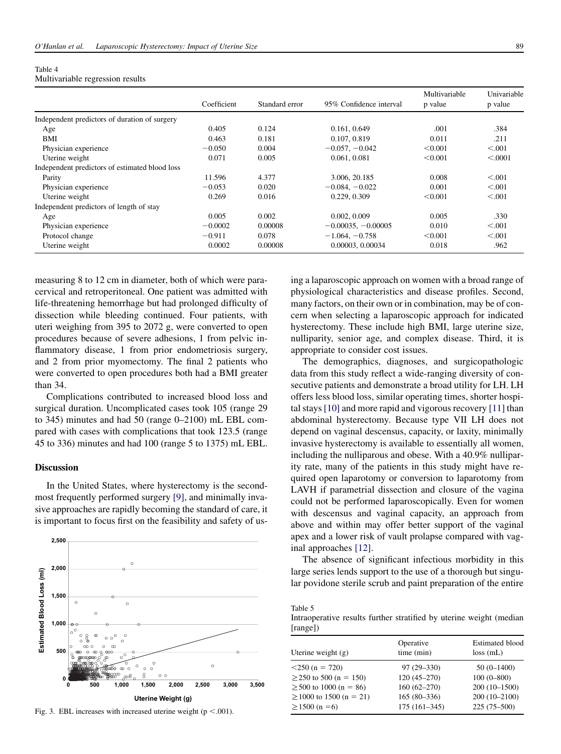<span id="page-4-0"></span>

| Table 4                          |  |
|----------------------------------|--|
| Multivariable regression results |  |

|                                                |             |                |                         | Multivariable | Univariable |
|------------------------------------------------|-------------|----------------|-------------------------|---------------|-------------|
|                                                | Coefficient | Standard error | 95% Confidence interval | p value       | p value     |
| Independent predictors of duration of surgery  |             |                |                         |               |             |
| Age                                            | 0.405       | 0.124          | 0.161, 0.649            | .001          | .384        |
| BMI                                            | 0.463       | 0.181          | 0.107, 0.819            | 0.011         | .211        |
| Physician experience                           | $-0.050$    | 0.004          | $-0.057, -0.042$        | < 0.001       | < 0.001     |
| Uterine weight                                 | 0.071       | 0.005          | 0.061, 0.081            | < 0.001       | < .0001     |
| Independent predictors of estimated blood loss |             |                |                         |               |             |
| Parity                                         | 11.596      | 4.377          | 3.006, 20.185           | 0.008         | < 0.001     |
| Physician experience                           | $-0.053$    | 0.020          | $-0.084, -0.022$        | 0.001         | < 0.001     |
| Uterine weight                                 | 0.269       | 0.016          | 0.229, 0.309            | < 0.001       | < 0.001     |
| Independent predictors of length of stay       |             |                |                         |               |             |
| Age                                            | 0.005       | 0.002          | 0.002, 0.009            | 0.005         | .330        |
| Physician experience                           | $-0.0002$   | 0.00008        | $-0.00035, -0.00005$    | 0.010         | < 0.001     |
| Protocol change                                | $-0.911$    | 0.078          | $-1.064, -0.758$        | < 0.001       | < 0.01      |
| Uterine weight                                 | 0.0002      | 0.00008        | 0.00003, 0.00034        | 0.018         | .962        |

measuring 8 to 12 cm in diameter, both of which were paracervical and retroperitoneal. One patient was admitted with life-threatening hemorrhage but had prolonged difficulty of dissection while bleeding continued. Four patients, with uteri weighing from 395 to 2072 g, were converted to open procedures because of severe adhesions, 1 from pelvic inflammatory disease, 1 from prior endometriosis surgery, and 2 from prior myomectomy. The final 2 patients who were converted to open procedures both had a BMI greater than 34.

Complications contributed to increased blood loss and surgical duration. Uncomplicated cases took 105 (range 29 to 345) minutes and had 50 (range 0–2100) mL EBL compared with cases with complications that took 123.5 (range 45 to 336) minutes and had 100 (range 5 to 1375) mL EBL.

## Discussion

In the United States, where hysterectomy is the secondmost frequently performed surgery [\[9\]](#page-6-0), and minimally invasive approaches are rapidly becoming the standard of care, it is important to focus first on the feasibility and safety of us-



Fig. 3. EBL increases with increased uterine weight ( $p < .001$ ).

ing a laparoscopic approach on women with a broad range of physiological characteristics and disease profiles. Second, many factors, on their own or in combination, may be of concern when selecting a laparoscopic approach for indicated hysterectomy. These include high BMI, large uterine size, nulliparity, senior age, and complex disease. Third, it is appropriate to consider cost issues.

The demographics, diagnoses, and surgicopathologic data from this study reflect a wide-ranging diversity of consecutive patients and demonstrate a broad utility for LH. LH offers less blood loss, similar operating times, shorter hospital stays [\[10\]](#page-6-0) and more rapid and vigorous recovery [\[11\]](#page-6-0) than abdominal hysterectomy. Because type VII LH does not depend on vaginal descensus, capacity, or laxity, minimally invasive hysterectomy is available to essentially all women, including the nulliparous and obese. With a 40.9% nulliparity rate, many of the patients in this study might have required open laparotomy or conversion to laparotomy from LAVH if parametrial dissection and closure of the vagina could not be performed laparoscopically. Even for women with descensus and vaginal capacity, an approach from above and within may offer better support of the vaginal apex and a lower risk of vault prolapse compared with vaginal approaches [\[12\]](#page-6-0).

The absence of significant infectious morbidity in this large series lends support to the use of a thorough but singular povidone sterile scrub and paint preparation of the entire

Table 5

Intraoperative results further stratified by uterine weight (median [range])

| Uterine weight $(g)$         | Operative<br>time (min) | <b>Estimated blood</b><br>$loss$ (mL) |
|------------------------------|-------------------------|---------------------------------------|
| $<$ 250 (n = 720)            | $97(29 - 330)$          | $50(0-1400)$                          |
| $\geq$ 250 to 500 (n = 150)  | $120(45-270)$           | $100(0 - 800)$                        |
| $\geq$ 500 to 1000 (n = 86)  | $160(62 - 270)$         | $200(10-1500)$                        |
| $\geq$ 1000 to 1500 (n = 21) | $165(80-336)$           | $200(10-2100)$                        |
| $\geq$ 1500 (n =6)           | $175(161-345)$          | $225(75-500)$                         |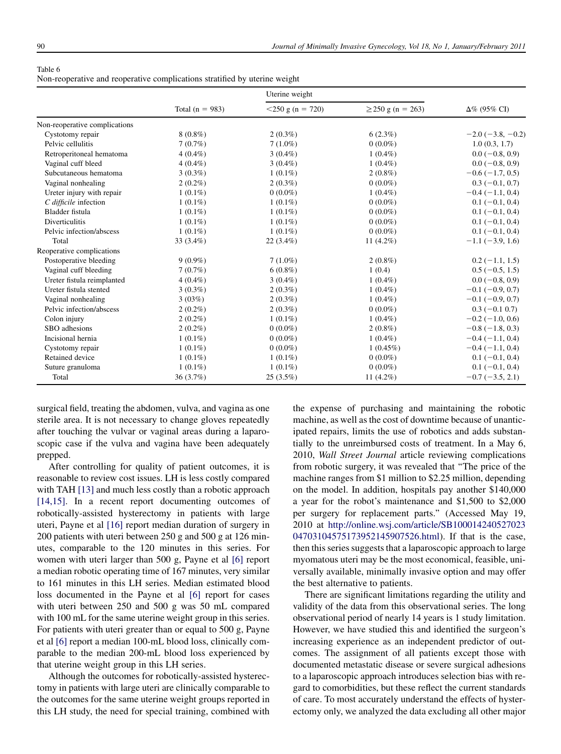<span id="page-5-0"></span>

| Table 6                                                                    |  |  |
|----------------------------------------------------------------------------|--|--|
| Non-reoperative and reoperative complications stratified by uterine weight |  |  |

|                               |                   | Uterine weight      |                        |                            |
|-------------------------------|-------------------|---------------------|------------------------|----------------------------|
|                               | Total $(n = 983)$ | $<$ 250 g (n = 720) | $\geq$ 250 g (n = 263) | $\Delta\%$ (95% CI)        |
| Non-reoperative complications |                   |                     |                        |                            |
| Cystotomy repair              | $8(0.8\%)$        | $2(0.3\%)$          | $6(2.3\%)$             | $-2.0$ ( $-3.8$ , $-0.2$ ) |
| Pelvic cellulitis             | 7(0.7%)           | $7(1.0\%)$          | $0(0.0\%)$             | 1.0(0.3, 1.7)              |
| Retroperitoneal hematoma      | $4(0.4\%)$        | $3(0.4\%)$          | $1(0.4\%)$             | $0.0 (-0.8, 0.9)$          |
| Vaginal cuff bleed            | $4(0.4\%)$        | $3(0.4\%)$          | $1(0.4\%)$             | $0.0 (-0.8, 0.9)$          |
| Subcutaneous hematoma         | $3(0.3\%)$        | $1(0.1\%)$          | $2(0.8\%)$             | $-0.6(-1.7, 0.5)$          |
| Vaginal nonhealing            | $2(0.2\%)$        | $2(0.3\%)$          | $0(0.0\%)$             | $0.3(-0.1, 0.7)$           |
| Ureter injury with repair     | $1(0.1\%)$        | $0(0.0\%)$          | $1(0.4\%)$             | $-0.4(-1.1, 0.4)$          |
| C difficile infection         | $1(0.1\%)$        | $1(0.1\%)$          | $0(0.0\%)$             | $0.1(-0.1, 0.4)$           |
| Bladder fistula               | $1(0.1\%)$        | $1(0.1\%)$          | $0(0.0\%)$             | $0.1(-0.1, 0.4)$           |
| Diverticulitis                | $1(0.1\%)$        | $1(0.1\%)$          | $0(0.0\%)$             | $0.1(-0.1, 0.4)$           |
| Pelvic infection/abscess      | $1(0.1\%)$        | $1(0.1\%)$          | $0(0.0\%)$             | $0.1(-0.1, 0.4)$           |
| Total                         | 33 $(3.4\%)$      | $22(3.4\%)$         | 11 $(4.2\%)$           | $-1.1$ ( $-3.9$ , 1.6)     |
| Reoperative complications     |                   |                     |                        |                            |
| Postoperative bleeding        | $9(0.9\%)$        | $7(1.0\%)$          | $2(0.8\%)$             | $0.2(-1.1, 1.5)$           |
| Vaginal cuff bleeding         | 7(0.7%)           | $6(0.8\%)$          | 1(0.4)                 | $0.5(-0.5, 1.5)$           |
| Ureter fistula reimplanted    | $4(0.4\%)$        | $3(0.4\%)$          | $1(0.4\%)$             | $0.0 (-0.8, 0.9)$          |
| Ureter fistula stented        | $3(0.3\%)$        | $2(0.3\%)$          | $1(0.4\%)$             | $-0.1$ ( $-0.9$ , 0.7)     |
| Vaginal nonhealing            | 3(03%)            | $2(0.3\%)$          | $1(0.4\%)$             | $-0.1$ ( $-0.9$ , 0.7)     |
| Pelvic infection/abscess      | $2(0.2\%)$        | $2(0.3\%)$          | $0(0.0\%)$             | $0.3 (-0.1 0.7)$           |
| Colon injury                  | $2(0.2\%)$        | $1(0.1\%)$          | $1(0.4\%)$             | $-0.2$ ( $-1.0, 0.6$ )     |
| SBO adhesions                 | $2(0.2\%)$        | $0(0.0\%)$          | $2(0.8\%)$             | $-0.8$ ( $-1.8$ , 0.3)     |
| Incisional hernia             | $1(0.1\%)$        | $0(0.0\%)$          | $1(0.4\%)$             | $-0.4(-1.1, 0.4)$          |
| Cystotomy repair              | $1(0.1\%)$        | $0(0.0\%)$          | $1(0.45\%)$            | $-0.4$ ( $-1.1, 0.4$ )     |
| Retained device               | $1(0.1\%)$        | $1(0.1\%)$          | $0(0.0\%)$             | $0.1(-0.1, 0.4)$           |
| Suture granuloma              | $1(0.1\%)$        | $1(0.1\%)$          | $0(0.0\%)$             | $0.1(-0.1, 0.4)$           |
| Total                         | 36(3.7%)          | $25(3.5\%)$         | 11 $(4.2\%)$           | $-0.7(-3.5, 2.1)$          |

surgical field, treating the abdomen, vulva, and vagina as one sterile area. It is not necessary to change gloves repeatedly after touching the vulvar or vaginal areas during a laparoscopic case if the vulva and vagina have been adequately prepped.

After controlling for quality of patient outcomes, it is reasonable to review cost issues. LH is less costly compared with TAH [\[13\]](#page-6-0) and much less costly than a robotic approach [\[14,15\]](#page-6-0). In a recent report documenting outcomes of robotically-assisted hysterectomy in patients with large uteri, Payne et al [\[16\]](#page-6-0) report median duration of surgery in 200 patients with uteri between 250 g and 500 g at 126 minutes, comparable to the 120 minutes in this series. For women with uteri larger than 500 g, Payne et al [\[6\]](#page-6-0) report a median robotic operating time of 167 minutes, very similar to 161 minutes in this LH series. Median estimated blood loss documented in the Payne et al [\[6\]](#page-6-0) report for cases with uteri between 250 and 500 g was 50 mL compared with 100 mL for the same uterine weight group in this series. For patients with uteri greater than or equal to 500 g, Payne et al [\[6\]](#page-6-0) report a median 100-mL blood loss, clinically comparable to the median 200-mL blood loss experienced by that uterine weight group in this LH series.

Although the outcomes for robotically-assisted hysterectomy in patients with large uteri are clinically comparable to the outcomes for the same uterine weight groups reported in this LH study, the need for special training, combined with the expense of purchasing and maintaining the robotic machine, as well as the cost of downtime because of unanticipated repairs, limits the use of robotics and adds substantially to the unreimbursed costs of treatment. In a May 6, 2010, Wall Street Journal article reviewing complications from robotic surgery, it was revealed that ''The price of the machine ranges from \$1 million to \$2.25 million, depending on the model. In addition, hospitals pay another \$140,000 a year for the robot's maintenance and \$1,500 to \$2,000 per surgery for replacement parts.'' (Accessed May 19, 2010 at [http://online.wsj.com/article/SB100014240527023](http://online.wsj.com/article/SB10001424052702304703104575173952145907526.html) [04703104575173952145907526.html\)](http://online.wsj.com/article/SB10001424052702304703104575173952145907526.html). If that is the case, then this series suggests that a laparoscopic approach to large myomatous uteri may be the most economical, feasible, universally available, minimally invasive option and may offer the best alternative to patients.

There are significant limitations regarding the utility and validity of the data from this observational series. The long observational period of nearly 14 years is 1 study limitation. However, we have studied this and identified the surgeon's increasing experience as an independent predictor of outcomes. The assignment of all patients except those with documented metastatic disease or severe surgical adhesions to a laparoscopic approach introduces selection bias with regard to comorbidities, but these reflect the current standards of care. To most accurately understand the effects of hysterectomy only, we analyzed the data excluding all other major